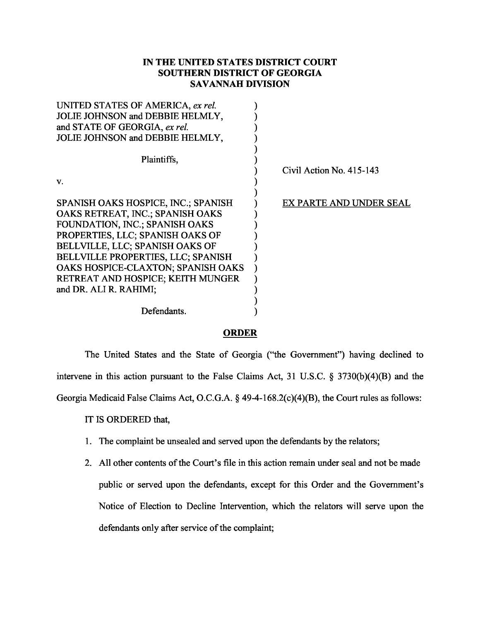## **IN THE UNITED STATES DISTRICT COURT SOUTHERN DISTRICT OF GEORGIA SAVANNAH DIVISION**

| Civil Action No. 415-143 |
|--------------------------|
|                          |
|                          |
| EX PARTE AND UNDER SEAL  |
|                          |
|                          |
|                          |
|                          |
|                          |
|                          |
|                          |
|                          |
|                          |
|                          |
|                          |

## **ORDER**

The United States and the State of Georgia ("the Government") having declined to intervene in this action pursuant to the False Claims Act, 31 U.S.C. § 3730(b)(4)(B) and the Georgia Medicaid False Claims Act, O.C.G.A. § 49-4-168.2(c)(4)(B), the Court rules as follows:

IT IS ORDERED that,

- 1. The complaint be unsealed and served upon the defendants by the relators;
- 2. All other contents of the Court's file in this action remain under seal and not be made public or served upon the defendants, except for this Order and the Government's Notice of Election to Decline Intervention, which the relators will serve upon the defendants only after service of the complaint;